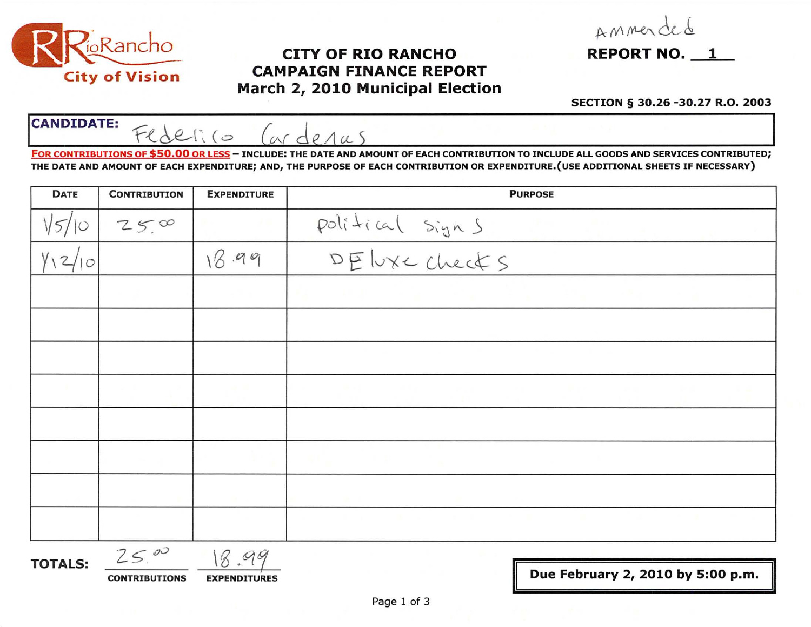

## City of Vision CAMPAIGN FINANCE REPORT March 2, 2010 Municipal Election

Ammerded

## SECTION § 30.26 -30.27 R.O. 2003

CANDIDATE: Federico Carderas

FOR CONTRIBUTIONS OF \$50.00 OR LESS - INCLUDE: THE DATE AND AMOUNT OF EACH CONTRIBUTION TO INCLUDE ALL GOODS AND SERVICES CONTRIBUTED; THE DATE AND AMOUNT OF EACH EXPENDITURE; AND, THE PURPOSE OF EACH CONTRIBUTION OR EXPENDITURE.(USE ADDITIONAL SHEETS IF NECESSARY)

| <b>DATE</b> | <b>CONTRIBUTION</b> | <b>EXPENDITURE</b> | <b>PURPOSE</b>  |  |
|-------------|---------------------|--------------------|-----------------|--|
|             | 2500                |                    | political signs |  |
| $\circ$     |                     | 18.99              |                 |  |
|             |                     |                    |                 |  |
|             |                     |                    |                 |  |
|             |                     |                    |                 |  |
|             |                     |                    |                 |  |
|             |                     |                    |                 |  |
|             |                     |                    |                 |  |
|             |                     |                    |                 |  |
|             |                     |                    |                 |  |

**TOTALS:**  $25.00$ 

CONTRIBUTIONS EXPENDITURES **EXPENDITURES EXPENDITURES EXPENDITURES** 

II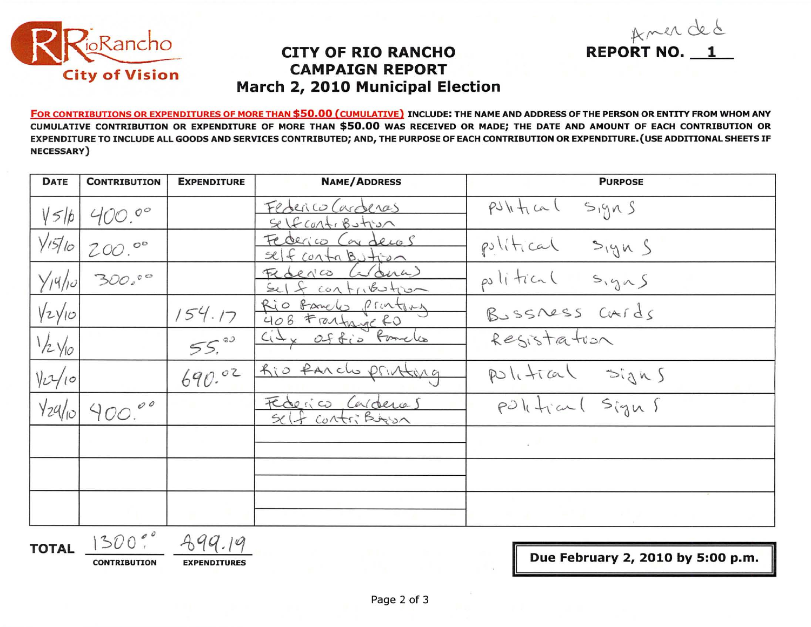

## **CITY OF RIO RANCHO CAMPAIGN REPORT** March 2, 2010 Municipal Election

FOR CONTRIBUTIONS OR EXPENDITURES OF MORE THAN \$50.00 (CUMULATIVE) INCLUDE: THE NAME AND ADDRESS OF THE PERSON OR ENTITY FROM WHOM ANY CUMULATIVE CONTRIBUTION OR EXPENDITURE OF MORE THAN \$50.00 WAS RECEIVED OR MADE; THE DATE AND AMOUNT OF EACH CONTRIBUTION OR EXPENDITURE TO INCLUDE ALL GOODS AND SERVICES CONTRIBUTED; AND, THE PURPOSE OF EACH CONTRIBUTION OR EXPENDITURE. (USE ADDITIONAL SHEETS IF **NECESSARY**)

| <b>DATE</b>         | <b>CONTRIBUTION</b> | <b>EXPENDITURE</b> | <b>NAME/ADDRESS</b>                                 | <b>PURPOSE</b>               |
|---------------------|---------------------|--------------------|-----------------------------------------------------|------------------------------|
| $V$ 5/ $b$          | 400.00              |                    | Federico Carderas<br>$S$ (f cont, Bution            | PJhH<br>$S_1$ 9 $nS$         |
| $\frac{1}{5}$       | 200.00              |                    | Federico Con decos<br>$524$ contabution             | political<br>$S_{19K}$       |
| $Y_14/10$           | 30000               |                    | (a) dera)<br>FLORNCO<br>I contribution<br>$\infty($ | political<br>$S, g \wedge S$ |
| $\sqrt{2}\sqrt{10}$ |                     | 154.17             | Rio Bando Printery<br>408 Frantage RD               | BUSSNESS CATds               |
| $1/2$ $\sqrt{0}$    |                     | 55.80              | City Office Pomeles                                 | Resistation                  |
| $Vz\frac{1}{10}$    |                     | 690.02             | Rio Parcho printing                                 | political signs              |
| $\frac{1}{2}$       | 400.00              |                    | Federico Carderas<br>ontri Bron                     | political Signs              |
|                     |                     |                    |                                                     |                              |
|                     |                     |                    |                                                     |                              |
|                     |                     |                    |                                                     |                              |

TOTAL 1300"

 $399.19$ 

**CONTRIBUTION** 

**EXPENDITURES** 

Due February 2, 2010 by 5:00 p.m.

REPORT NO. 1